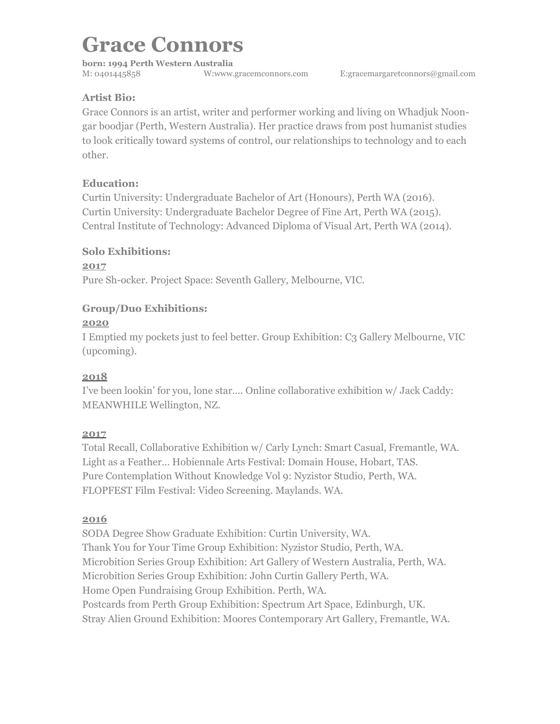**born: 1994 Perth Western Australia**  M: 0401445858 W:www.gracemconnors.com E:gracemargaretconnors@[gmail.com](http://gmail.com)

# **Artist Bio:**

Grace Connors is an artist, writer and performer working and living on Whadjuk Noongar boodjar (Perth, Western Australia). Her practice draws from post humanist studies to look critically toward systems of control, our relationships to technology and to each other.

### **Education:**

Curtin University: Undergraduate Bachelor of Art (Honours), Perth WA (2016). Curtin University: Undergraduate Bachelor Degree of Fine Art, Perth WA (2015). Central Institute of Technology: Advanced Diploma of Visual Art, Perth WA (2014).

### **Solo Exhibitions:**

**2017** Pure Sh-ocker. Project Space: Seventh Gallery, Melbourne, VIC.

# **Group/Duo Exhibitions:**

#### **2020**

I Emptied my pockets just to feel better. Group Exhibition: C3 Gallery Melbourne, VIC (upcoming).

# **2018**

I've been lookin' for you, lone star…. Online collaborative exhibition w/ Jack Caddy: MEANWHILE Wellington, NZ.

#### **2017**

Total Recall, Collaborative Exhibition w/ Carly Lynch: Smart Casual, Fremantle, WA. Light as a Feather… Hobiennale Arts Festival: Domain House, Hobart, TAS. Pure Contemplation Without Knowledge Vol 9: Nyzistor Studio, Perth, WA. FLOPFEST Film Festival: Video Screening. Maylands. WA.

#### **2016**

SODA Degree Show Graduate Exhibition: Curtin University, WA. Thank You for Your Time Group Exhibition: Nyzistor Studio, Perth, WA. Microbition Series Group Exhibition: Art Gallery of Western Australia, Perth, WA. Microbition Series Group Exhibition: John Curtin Gallery Perth, WA. Home Open Fundraising Group Exhibition. Perth, WA. Postcards from Perth Group Exhibition: Spectrum Art Space, Edinburgh, UK. Stray Alien Ground Exhibition: Moores Contemporary Art Gallery, Fremantle, WA.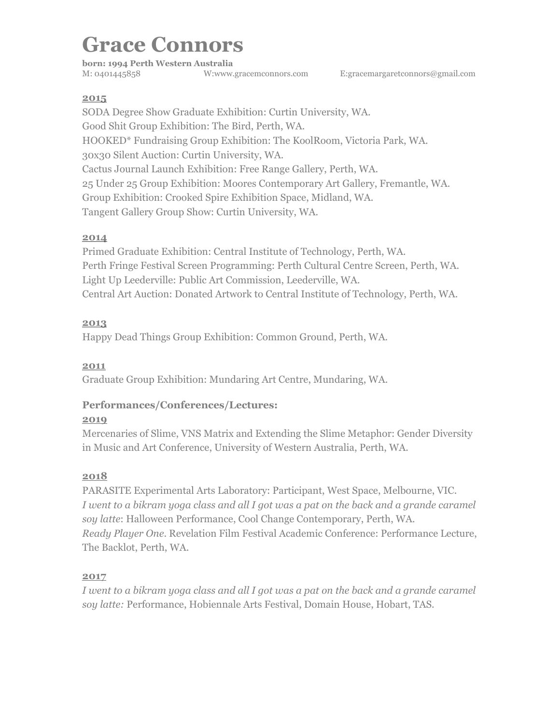**born: 1994 Perth Western Australia**  M: 0401445858 W:www.gracemconnors.com E:gracemargaretconnors@[gmail.com](http://gmail.com)

#### **2015**

SODA Degree Show Graduate Exhibition: Curtin University, WA. Good Shit Group Exhibition: The Bird, Perth, WA. HOOKED\* Fundraising Group Exhibition: The KoolRoom, Victoria Park, WA. 30x30 Silent Auction: Curtin University, WA. Cactus Journal Launch Exhibition: Free Range Gallery, Perth, WA. 25 Under 25 Group Exhibition: Moores Contemporary Art Gallery, Fremantle, WA. Group Exhibition: Crooked Spire Exhibition Space, Midland, WA. Tangent Gallery Group Show: Curtin University, WA.

#### **2014**

Primed Graduate Exhibition: Central Institute of Technology, Perth, WA. Perth Fringe Festival Screen Programming: Perth Cultural Centre Screen, Perth, WA. Light Up Leederville: Public Art Commission, Leederville, WA. Central Art Auction: Donated Artwork to Central Institute of Technology, Perth, WA.

#### **2013**

Happy Dead Things Group Exhibition: Common Ground, Perth, WA.

#### **2011**

Graduate Group Exhibition: Mundaring Art Centre, Mundaring, WA.

# **Performances/Conferences/Lectures:**

#### **2019**

Mercenaries of Slime, VNS Matrix and Extending the Slime Metaphor: Gender Diversity in Music and Art Conference, University of Western Australia, Perth, WA.

#### **2018**

PARASITE Experimental Arts Laboratory: Participant, West Space, Melbourne, VIC. *I went to a bikram yoga class and all I got was a pat on the back and a grande caramel soy latte*: Halloween Performance, Cool Change Contemporary, Perth, WA. *Ready Player One*. Revelation Film Festival Academic Conference: Performance Lecture, The Backlot, Perth, WA.

#### **2017**

*I went to a bikram yoga class and all I got was a pat on the back and a grande caramel soy latte:* Performance, Hobiennale Arts Festival, Domain House, Hobart, TAS.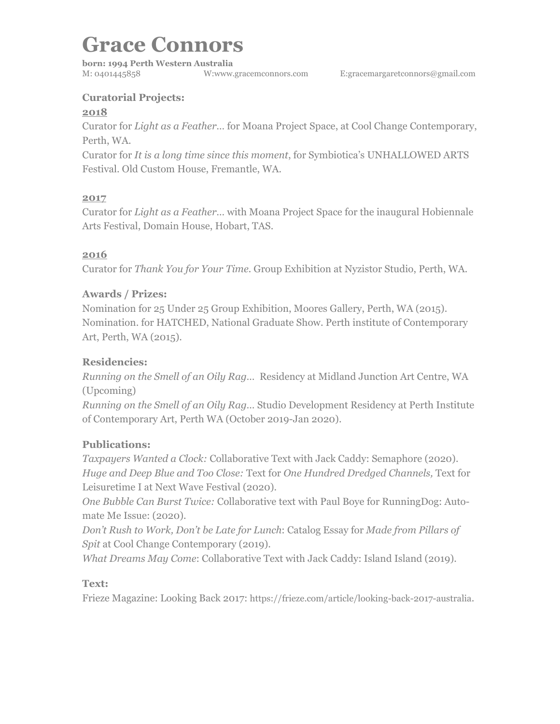**born: 1994 Perth Western Australia**  M: 0401445858 W:www.gracemconnors.com E:gracemargaretconnors@[gmail.com](http://gmail.com)

# **Curatorial Projects:**

#### **2018**

Curator for *Light as a Feather…* for Moana Project Space, at Cool Change Contemporary, Perth, WA.

Curator for *It is a long time since this moment*, for Symbiotica's UNHALLOWED ARTS Festival. Old Custom House, Fremantle, WA.

### **2017**

Curator for *Light as a Feather…* with Moana Project Space for the inaugural Hobiennale Arts Festival, Domain House, Hobart, TAS.

# **2016**

Curator for *Thank You for Your Time.* Group Exhibition at Nyzistor Studio, Perth, WA.

# **Awards / Prizes:**

Nomination for 25 Under 25 Group Exhibition, Moores Gallery, Perth, WA (2015). Nomination. for HATCHED, National Graduate Show. Perth institute of Contemporary Art, Perth, WA (2015).

### **Residencies:**

*Running on the Smell of an Oily Rag…* Residency at Midland Junction Art Centre, WA (Upcoming)

*Running on the Smell of an Oily Rag…* Studio Development Residency at Perth Institute of Contemporary Art, Perth WA (October 2019-Jan 2020).

# **Publications:**

*Taxpayers Wanted a Clock:* Collaborative Text with Jack Caddy: Semaphore (2020). *Huge and Deep Blue and Too Close:* Text for *One Hundred Dredged Channels,* Text for Leisuretime I at Next Wave Festival (2020).

*One Bubble Can Burst Twice:* Collaborative text with Paul Boye for RunningDog: Automate Me Issue: (2020).

*Don't Rush to Work, Don't be Late for Lunch*: Catalog Essay for *Made from Pillars of Spit* at Cool Change Contemporary (2019).

*What Dreams May Come*: Collaborative Text with Jack Caddy: Island Island (2019).

# **Text:**

Frieze Magazine: Looking Back 2017: [https://frieze.com/article/looking-back-2017-australia.](https://frieze.com/article/looking-back-2017-australia)